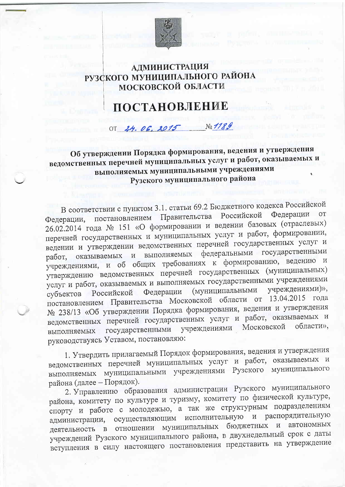

## **АДМИНИСТРАЦИЯ** РУЗСКОГО МУНИЦИПАЛЬНОГО РАЙОНА **МОСКОВСКОЙ ОБЛАСТИ**

## ПОСТАНОВЛЕНИЕ

OT 24.06.2015

Об утверждении Порядка формирования, ведения и утверждения ведомственных перечней муниципальных услуг и работ, оказываемых и выполняемых муниципальными учреждениями Рузского муниципального района

 $N<sub>0</sub> 1189$ 

В соответствии с пунктом 3.1. статьи 69.2 Бюджетного кодекса Российской постановлением Правительства Российской Федерации от Федерации, 26.02.2014 года № 151 «О формировании и ведении базовых (отраслевых) перечней государственных и муниципальных услуг и работ, формировании, ведении и утверждении ведомственных перечней государственных услуг и и выполняемых федеральными государственными оказываемых работ. учреждениями, и об общих требованиях к формированию, ведению и утверждению ведомственных перечней государственных (муниципальных) услуг и работ, оказываемых и выполняемых государственными учреждениями учреждениями)», субъектов Российской Федерации (муниципальными постановлением Правительства Московской области от 13.04.2015 года № 238/13 «Об утверждении Порядка формирования, ведения и утверждения ведомственных перечней государственных услуг и работ, оказываемых и учреждениями Московской области», выполняемых государственными руководствуясь Уставом, постановляю:

1. Утвердить прилагаемый Порядок формирования, ведения и утверждения ведомственных перечней муниципальных услуг и работ, оказываемых и выполняемых муниципальными учреждениями Рузского муниципального района (далее - Порядок).

2. Управлению образования администрации Рузского муниципального района, комитету по культуре и туризму, комитету по физической культуре, спорту и работе с молодежью, а так же структурным подразделениям администрации, осуществляющим исполнительную и распорядительную деятельность в отношении муниципальных бюджетных и автономных учреждений Рузского муниципального района, в двухнедельный срок с даты вступления в силу настоящего постановления представить на утверждение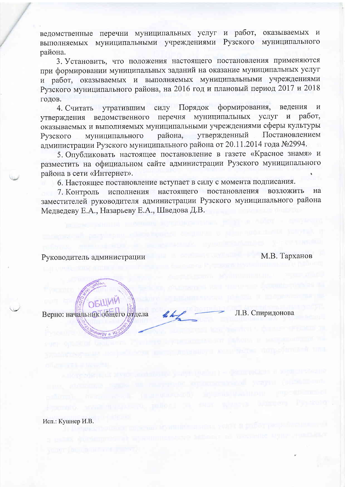ведомственные перечни муниципальных услуг и работ, оказываемых и выполняемых муниципальными учреждениями Рузского муниципального района.

3. Установить, что положения настоящего постановления применяются при формировании муниципальных заданий на оказание муниципальных услуг и работ, оказываемых и выполняемых муниципальными учреждениями Рузского муниципального района, на 2016 год и плановый период 2017 и 2018 голов.

силу Порядок формирования, веления утратившим  $\overline{M}$ 4. Считать перечня муниципальных услуг и работ, утверждения ведомственного оказываемых и выполняемых муниципальными учреждениями сферы культуры утвержденный Постановлением района, Рузского муниципального администрации Рузского муниципального района от 20.11.2014 года №2994.

5. Опубликовать настоящее постановление в газете «Красное знамя» и разместить на официальном сайте администрации Рузского муниципального района в сети «Интернет».

6. Настоящее постановление вступает в силу с момента подписания.

исполнения настоящего постановления возложить на 7. Контроль заместителей руководителя администрации Рузского муниципального района Медведеву Е.А., Назарьеву Е.А., Шведова Д.В.

Руководитель администрации

Верно: начальник общего отдела

М.В. Тарханов

Л.В. Спиридонова

Исп.: Кушнер И.В.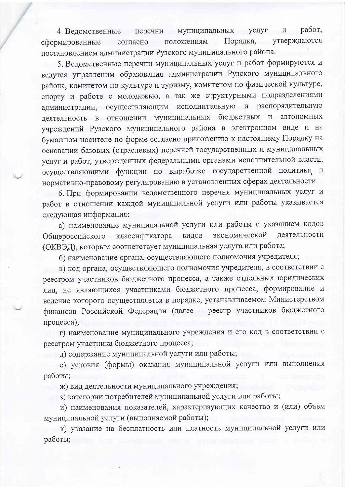работ, 4. Ведомственные перечни муниципальных услуг  $\mathbf{M}$ Порядка, утверждаются согласно положениям сформированные постановлением администрации Рузского муниципального района.

5. Ведомственные перечни муниципальных услуг и работ формируются и ведутся управленим образования администрации Рузского муниципального района, комитетом по культуре и туризму, комитетом по физической культуре, спорту и работе с молодежью, а так же структурными подразделениями исполнительную и распорядительную администрации, осуществляющим деятельность в отношении муниципальных бюджетных и автономных учреждений Рузского муниципального района в электронном виде и на бумажном носителе по форме согласно приложению к настоящему Порядку на основании базовых (отраслевых) перечней государственных и муниципальных услуг и работ, утвержденных федеральными органами исполнительной власти, осуществляющими функции по выработке государственной политики и нормативно-правовому регулированию в установленных сферах деятельности.

6. При формировании ведомственного перечня муниципальных услуг и работ в отношении каждой муниципальной услуги или работы указывается следующая информация:

а) наименование муниципальной услуги или работы с указанием кодов Общероссийского классификатора видов экономической деятельности (ОКВЭД), которым соответствует муниципальная услуга или работа;

б) наименование органа, осуществляющего полномочия учредителя;

в) код органа, осуществляющего полномочия учредителя, в соответствии с реестром участников бюджетного процесса, а также отдельных юридических лиц, не являющихся участниками бюджетного процесса, формирование и ведение которого осуществляется в порядке, устанавливаемом Министерством финансов Российской Федерации (далее - реестр участников бюджетного процесса);

г) наименование муниципального учреждения и его код в соответствии с реестром участника бюджетного процесса;

д) содержание муниципальной услуги или работы;

е) условия (формы) оказания муниципальной услуги или выполнения работы;

ж) вид деятельности муниципального учреждения;

з) категории потребителей муниципальной услуги или работы;

и) наименования показателей, характеризующих качество и (или) объем муниципальной услуги (выполняемой работы);

к) указание на бесплатность или платность муниципальной услуги или работы;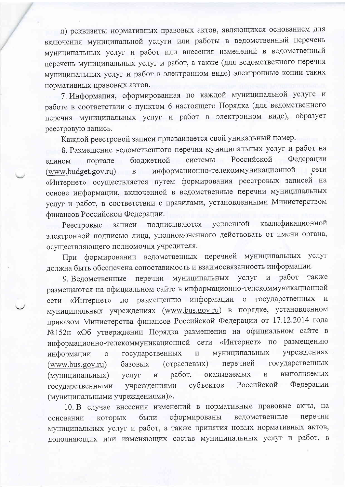л) реквизиты нормативных правовых актов, являющихся основанием для включения муниципальной услуги или работы в ведомственный перечень муниципальных услуг и работ или внесения изменений в ведомственный перечень муниципальных услуг и работ, а также (для ведомственного перечня муниципальных услуг и работ в электронном виде) электронные копии таких нормативных правовых актов.

7. Информация, сформированная по каждой муниципальной услуге и работе в соответствии с пунктом 6 настоящего Порядка (для ведомственного перечня муниципальных услуг и работ в электронном виде), образует реестровую запись.

Каждой реестровой записи присваивается свой уникальный номер.

8. Размещение ведомственного перечня муниципальных услуг и работ на системы Российской Федерации бюджетной едином портале информационно-телекоммуникационной сети (www.budget.gov.ru)  $\overline{B}$ «Интернет» осуществляется путем формирования реестровых записей на основе информации, включенной в ведомственные перечни муниципальных услуг и работ, в соответствии с правилами, установленными Министерством финансов Российской Федерации.

усиленной квалификационной подписываются Реестровые записи электронной подписью лица, уполномоченного действовать от имени органа, осуществляющего полномочия учредителя.

При формировании ведомственных перечней муниципальных услуг должна быть обеспечена сопоставимость и взаимосвязанность информации.

работ также 9. Ведомственные перечни муниципальных услуг  $\mathbf{M}$ размещаются на официальном сайте в информационно-телекоммуникационной размещению информации о государственных сети «Интернет»  $\Pi{\rm O}$ муниципальных учреждениях (www.bus.gov.ru) в порядке, установленном приказом Министерства финансов Российской Федерации от 17.12.2014 года №152н «Об утверждении Порядка размещения на официальном сайте в информационно-телекоммуникационной сети «Интернет» по размещению муниципальных учреждениях  $\overline{\mathbf{M}}$ информации государственных  $\overline{O}$ (отраслевых) перечней государственных  $(www.bus.gov.ru)$ базовых выполняемых оказываемых работ,  $\, {\rm H}$ (муниципальных) услуг  $\, {\rm N}$ Российской субъектов Федерации учреждениями государственными (муниципальными учреждениями)».

10. В случае внесения изменений в нормативные правовые акты, на ведомственные перечни были сформированы которых основании муниципальных услуг и работ, а также принятия новых нормативных актов, дополняющих или изменяющих состав муниципальных услуг и работ, в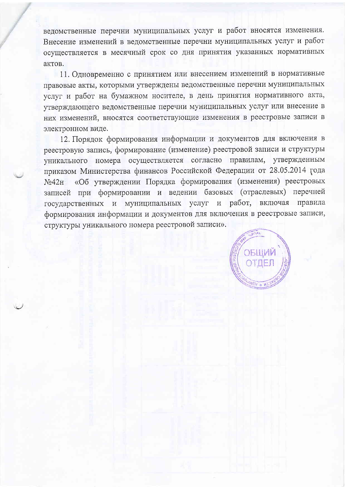ведомственные перечни муниципальных услуг и работ вносятся изменения. Внесение изменений в ведомственные перечни муниципальных услуг и работ осуществляется в месячный срок со дня принятия указанных нормативных актов.

11. Одновременно с принятием или внесением изменений в нормативные правовые акты, которыми утверждены ведомственные перечни муниципальных услуг и работ на бумажном носителе, в день принятия нормативного акта, утверждающего ведомственные перечни муниципальных услуг или внесение в них изменений, вносятся соответствующие изменения в реестровые записи в электронном виде.

12. Порядок формирования информации и документов для включения в реестровую запись, формирование (изменение) реестровой записи и структуры уникального номера осуществляется согласно правилам, утвержденным приказом Министерства финансов Российской Федерации от 28.05.2014 года «Об утверждении Порядка формирования (изменения) реестровых  $N<sub>242H</sub>$ записей при формировании и ведении базовых (отраслевых) перечней государственных и муниципальных услуг и работ, включая правила формирования информации и документов для включения в реестровые записи, структуры уникального номера реестровой записи».